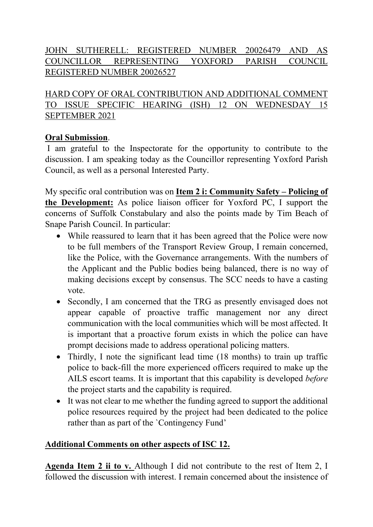# JOHN SUTHERELL: REGISTERED NUMBER 20026479 AND AS COUNCILLOR REPRESENTING YOXFORD PARISH COUNCIL REGISTERED NUMBER 20026527

HARD COPY OF ORAL CONTRIBUTION AND ADDITIONAL COMMENT TO ISSUE SPECIFIC HEARING (ISH) 12 ON WEDNESDAY 15 SEPTEMBER 2021

#### **Oral Submission**.

I am grateful to the Inspectorate for the opportunity to contribute to the discussion. I am speaking today as the Councillor representing Yoxford Parish Council, as well as a personal Interested Party.

My specific oral contribution was on **Item 2 i: Community Safety – Policing of the Development:** As police liaison officer for Yoxford PC, I support the concerns of Suffolk Constabulary and also the points made by Tim Beach of Snape Parish Council. In particular:

- While reassured to learn that it has been agreed that the Police were now to be full members of the Transport Review Group, I remain concerned, like the Police, with the Governance arrangements. With the numbers of the Applicant and the Public bodies being balanced, there is no way of making decisions except by consensus. The SCC needs to have a casting vote.
- Secondly, I am concerned that the TRG as presently envisaged does not appear capable of proactive traffic management nor any direct communication with the local communities which will be most affected. It is important that a proactive forum exists in which the police can have prompt decisions made to address operational policing matters.
- Thirdly, I note the significant lead time (18 months) to train up traffic police to back-fill the more experienced officers required to make up the AILS escort teams. It is important that this capability is developed *before* the project starts and the capability is required.
- It was not clear to me whether the funding agreed to support the additional police resources required by the project had been dedicated to the police rather than as part of the `Contingency Fund'

## **Additional Comments on other aspects of ISC 12.**

**Agenda Item 2 ii to v.** Although I did not contribute to the rest of Item 2, I followed the discussion with interest. I remain concerned about the insistence of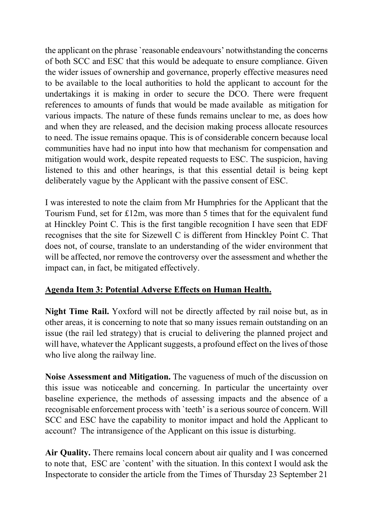the applicant on the phrase 'reasonable endeavours' notwithstanding the concerns of both SCC and ESC that this would be adequate to ensure compliance. Given the wider issues of ownership and governance, properly effective measures need to be available to the local authorities to hold the applicant to account for the undertakings it is making in order to secure the DCO. There were frequent references to amounts of funds that would be made available as mitigation for various impacts. The nature of these funds remains unclear to me, as does how and when they are released, and the decision making process allocate resources to need. The issue remains opaque. This is of considerable concern because local communities have had no input into how that mechanism for compensation and mitigation would work, despite repeated requests to ESC. The suspicion, having listened to this and other hearings, is that this essential detail is being kept deliberately vague by the Applicant with the passive consent of ESC.

I was interested to note the claim from Mr Humphries for the Applicant that the Tourism Fund, set for £12m, was more than 5 times that for the equivalent fund at Hinckley Point C. This is the first tangible recognition I have seen that EDF recognises that the site for Sizewell C is different from Hinckley Point C. That does not, of course, translate to an understanding of the wider environment that will be affected, nor remove the controversy over the assessment and whether the impact can, in fact, be mitigated effectively.

## **Agenda Item 3: Potential Adverse Effects on Human Health.**

**Night Time Rail.** Yoxford will not be directly affected by rail noise but, as in other areas, it is concerning to note that so many issues remain outstanding on an issue (the rail led strategy) that is crucial to delivering the planned project and will have, whatever the Applicant suggests, a profound effect on the lives of those who live along the railway line.

**Noise Assessment and Mitigation.** The vagueness of much of the discussion on this issue was noticeable and concerning. In particular the uncertainty over baseline experience, the methods of assessing impacts and the absence of a recognisable enforcement process with `teeth' is a serious source of concern. Will SCC and ESC have the capability to monitor impact and hold the Applicant to account? The intransigence of the Applicant on this issue is disturbing.

**Air Quality.** There remains local concern about air quality and I was concerned to note that, ESC are `content' with the situation. In this context I would ask the Inspectorate to consider the article from the Times of Thursday 23 September 21